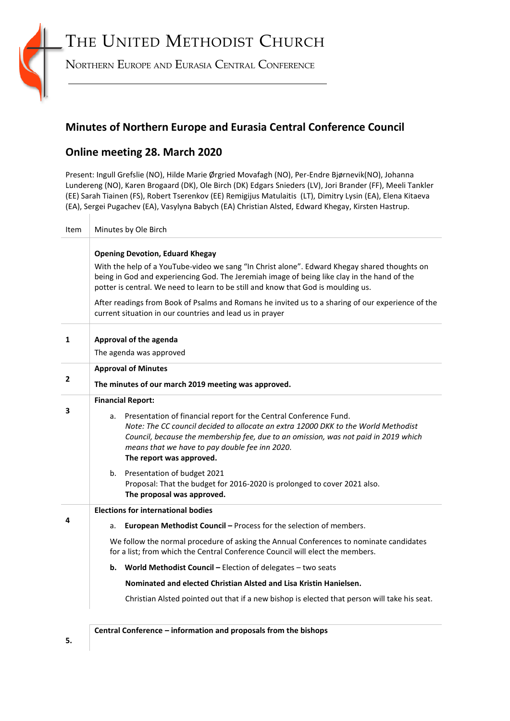# THE UNITED METHODIST CHURCH



NORTHERN EUROPE AND EURASIA CENTRAL CONFERENCE

## **Minutes of Northern Europe and Eurasia Central Conference Council**

## **Online meeting 28. March 2020**

 $\overline{\phantom{a}}$ 

Present: Ingull Grefslie (NO), Hilde Marie Ørgried Movafagh (NO), Per-Endre Bjørnevik(NO), Johanna Lundereng (NO), Karen Brogaard (DK), Ole Birch (DK) Edgars Snieders (LV), Jori Brander (FF), Meeli Tankler (EE) Sarah Tiainen (FS), Robert Tserenkov (EE) Remigijus Matulaitis (LT), Dimitry Lysin (EA), Elena Kitaeva (EA), Sergei Pugachev (EA), Vasylyna Babych (EA) Christian Alsted, Edward Khegay, Kirsten Hastrup.

| Item           | Minutes by Ole Birch                                                                                                                                                                                                                                                                                                               |
|----------------|------------------------------------------------------------------------------------------------------------------------------------------------------------------------------------------------------------------------------------------------------------------------------------------------------------------------------------|
|                | <b>Opening Devotion, Eduard Khegay</b>                                                                                                                                                                                                                                                                                             |
|                | With the help of a YouTube-video we sang "In Christ alone". Edward Khegay shared thoughts on<br>being in God and experiencing God. The Jeremiah image of being like clay in the hand of the<br>potter is central. We need to learn to be still and know that God is moulding us.                                                   |
|                | After readings from Book of Psalms and Romans he invited us to a sharing of our experience of the<br>current situation in our countries and lead us in prayer                                                                                                                                                                      |
| 1              | Approval of the agenda                                                                                                                                                                                                                                                                                                             |
|                | The agenda was approved                                                                                                                                                                                                                                                                                                            |
| $\overline{2}$ | <b>Approval of Minutes</b>                                                                                                                                                                                                                                                                                                         |
|                | The minutes of our march 2019 meeting was approved.                                                                                                                                                                                                                                                                                |
| 3              | <b>Financial Report:</b>                                                                                                                                                                                                                                                                                                           |
|                | Presentation of financial report for the Central Conference Fund.<br>a.<br>Note: The CC council decided to allocate an extra 12000 DKK to the World Methodist<br>Council, because the membership fee, due to an omission, was not paid in 2019 which<br>means that we have to pay double fee inn 2020.<br>The report was approved. |
|                | Presentation of budget 2021<br>b.<br>Proposal: That the budget for 2016-2020 is prolonged to cover 2021 also.<br>The proposal was approved.                                                                                                                                                                                        |
| Δ              | <b>Elections for international bodies</b>                                                                                                                                                                                                                                                                                          |
|                | European Methodist Council - Process for the selection of members.<br>а.                                                                                                                                                                                                                                                           |
|                | We follow the normal procedure of asking the Annual Conferences to nominate candidates<br>for a list; from which the Central Conference Council will elect the members.                                                                                                                                                            |
|                | World Methodist Council - Election of delegates - two seats<br>b.                                                                                                                                                                                                                                                                  |
|                | Nominated and elected Christian Alsted and Lisa Kristin Hanielsen.                                                                                                                                                                                                                                                                 |
|                | Christian Alsted pointed out that if a new bishop is elected that person will take his seat.                                                                                                                                                                                                                                       |